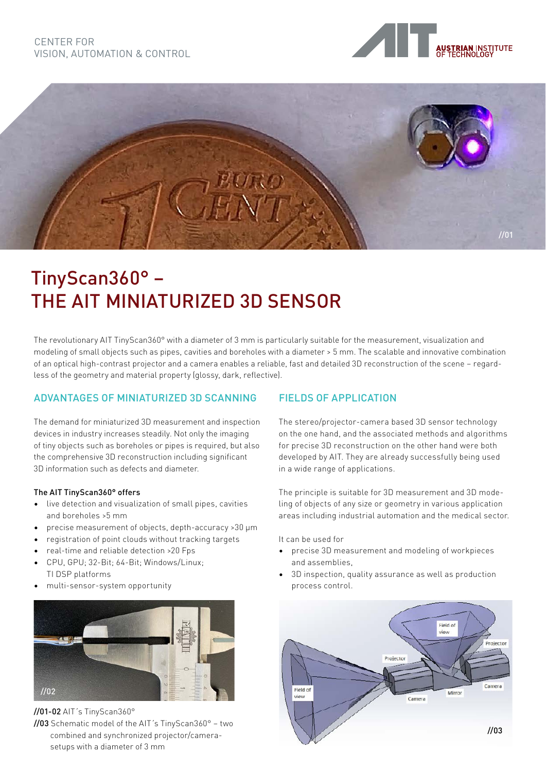



# TinyScan360° – THE AIT MINIATURIZED 3D SENSOR

The revolutionary AIT TinyScan360° with a diameter of 3 mm is particularly suitable for the measurement, visualization and modeling of small objects such as pipes, cavities and boreholes with a diameter > 5 mm. The scalable and innovative combination of an optical high-contrast projector and a camera enables a reliable, fast and detailed 3D reconstruction of the scene – regardless of the geometry and material property (glossy, dark, reflective).

# ADVANTAGES OF MINIATURIZED 3D SCANNING

The demand for miniaturized 3D measurement and inspection devices in industry increases steadily. Not only the imaging of tiny objects such as boreholes or pipes is required, but also the comprehensive 3D reconstruction including significant 3D information such as defects and diameter.

#### The AIT TinyScan360° offers

- live detection and visualization of small pipes, cavities and boreholes >5 mm
- precise measurement of objects, depth-accuracy >30 µm
- registration of point clouds without tracking targets
- real-time and reliable detection >20 Fps
- CPU, GPU; 32-Bit; 64-Bit; Windows/Linux; TI DSP platforms
- multi-sensor-system opportunity



//01-02 AIT´s TinyScan360°

//03 Schematic model of the AIT´s TinyScan360° – two combined and synchronized projector/camera setups with a diameter of 3 mm

### FIELDS OF APPLICATION

The stereo/projector-camera based 3D sensor technology on the one hand, and the associated methods and algorithms for precise 3D reconstruction on the other hand were both developed by AIT. They are already successfully being used in a wide range of applications.

The principle is suitable for 3D measurement and 3D modeling of objects of any size or geometry in various application areas including industrial automation and the medical sector.

It can be used for

- precise 3D measurement and modeling of workpieces and assemblies,
- 3D inspection, quality assurance as well as production process control.